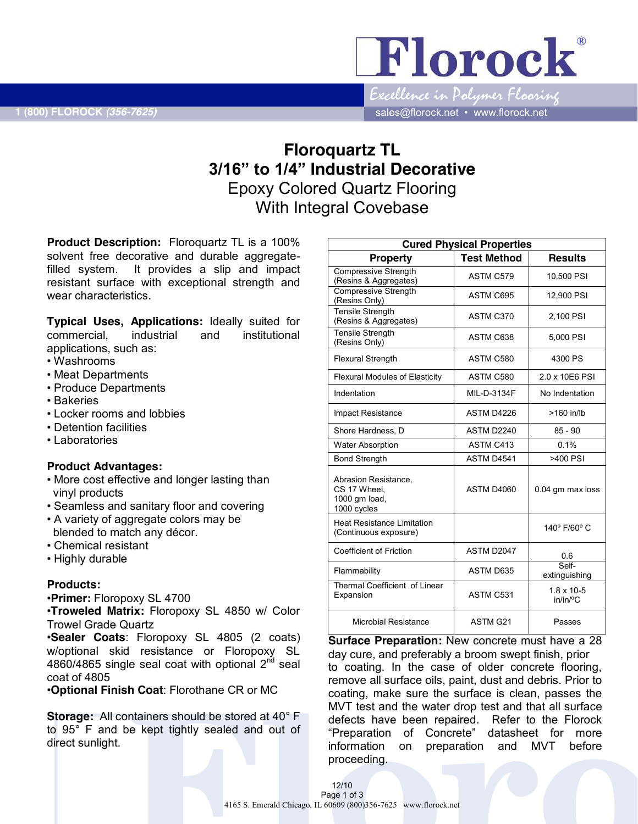Florock Excellence in Polymer Flooring

 **1 (800) FLOROCK** *(356-7625)* sales@florock.net • www.florock.net

# **Floroquartz TL 3/16" to 1/4" Industrial Decorative** Epoxy Colored Quartz Flooring With Integral Covebase

**Product Description:** Floroquartz TL is a 100% solvent free decorative and durable aggregatefilled system. It provides a slip and impact resistant surface with exceptional strength and wear characteristics.

**Typical Uses, Applications:** Ideally suited for commercial, industrial and institutional applications, such as:

- Washrooms
- Meat Departments
- Produce Departments
- Bakeries
- Locker rooms and lobbies
- Detention facilities
- Laboratories

## **Product Advantages:**

- More cost effective and longer lasting than vinyl products
- Seamless and sanitary floor and covering
- A variety of aggregate colors may be blended to match any décor.
- Chemical resistant
- Highly durable

## **Products:**

•**Primer:** Floropoxy SL 4700

•**Troweled Matrix:** Floropoxy SL 4850 w/ Color Trowel Grade Quartz

•**Sealer Coats**: Floropoxy SL 4805 (2 coats) w/optional skid resistance or Floropoxy SL 4860/4865 single seal coat with optional  $2<sup>nd</sup>$  seal coat of 4805

•**Optional Finish Coat**: Florothane CR or MC

**Storage:** All containers should be stored at 40° F to 95° F and be kept tightly sealed and out of direct sunlight.

| <b>Cured Physical Properties</b>                                     |                    |                                 |  |
|----------------------------------------------------------------------|--------------------|---------------------------------|--|
| <b>Property</b>                                                      | <b>Test Method</b> | <b>Results</b>                  |  |
| <b>Compressive Strength</b><br>(Resins & Aggregates)                 | ASTM C579          | 10,500 PSI                      |  |
| <b>Compressive Strength</b><br>(Resins Only)                         | ASTM C695          | 12,900 PSI                      |  |
| <b>Tensile Strength</b><br>(Resins & Aggregates)                     | ASTM C370          | 2,100 PSI                       |  |
| <b>Tensile Strength</b><br>(Resins Only)                             | ASTM C638          | 5,000 PSI                       |  |
| <b>Flexural Strength</b>                                             | ASTM C580          | 4300 PS                         |  |
| <b>Flexural Modules of Elasticity</b>                                | ASTM C580          | 2.0 x 10E6 PSI                  |  |
| Indentation                                                          | MIL-D-3134F        | No Indentation                  |  |
| <b>Impact Resistance</b>                                             | ASTM D4226         | >160 in/lb                      |  |
| Shore Hardness, D                                                    | ASTM D2240         | $85 - 90$                       |  |
| <b>Water Absorption</b>                                              | ASTM C413          | 0.1%                            |  |
| <b>Bond Strength</b>                                                 | ASTM D4541         | $>400$ PSI                      |  |
| Abrasion Resistance.<br>CS 17 Wheel.<br>1000 gm load,<br>1000 cycles | ASTM D4060         | 0.04 gm max loss                |  |
| <b>Heat Resistance Limitation</b><br>(Continuous exposure)           |                    | 140° F/60° C                    |  |
| <b>Coefficient of Friction</b>                                       | ASTM D2047         | 0.6                             |  |
| Flammability                                                         | ASTM D635          | Self-<br>extinguishing          |  |
| Thermal Coefficient of Linear<br>Expansion                           | ASTM C531          | $1.8 \times 10 - 5$<br>in/in/°C |  |
| <b>Microbial Resistance</b>                                          | ASTM G21           | Passes                          |  |

**Surface Preparation:** New concrete must have a 28 day cure, and preferably a broom swept finish, prior to coating. In the case of older concrete flooring, remove all surface oils, paint, dust and debris. Prior to coating, make sure the surface is clean, passes the MVT test and the water drop test and that all surface defects have been repaired. Refer to the Florock "Preparation of Concrete" datasheet for more information on preparation and MVT before proceeding.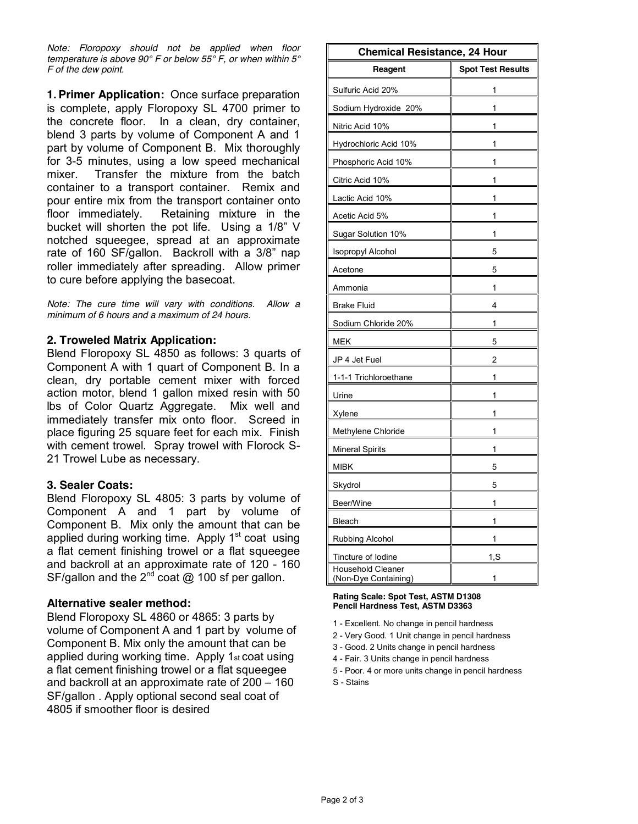*Note: Floropoxy should not be applied when floor temperature is above 90° F or below 55° F, or when within 5° F of the dew point.*

**1. Primer Application:** Once surface preparation is complete, apply Floropoxy SL 4700 primer to the concrete floor. In a clean, dry container, blend 3 parts by volume of Component A and 1 part by volume of Component B. Mix thoroughly for 3-5 minutes, using a low speed mechanical mixer. Transfer the mixture from the batch container to a transport container. Remix and pour entire mix from the transport container onto floor immediately. Retaining mixture in the bucket will shorten the pot life. Using a 1/8" V notched squeegee, spread at an approximate rate of 160 SF/gallon. Backroll with a 3/8" nap roller immediately after spreading. Allow primer to cure before applying the basecoat.

*Note: The cure time will vary with conditions. Allow a minimum of 6 hours and a maximum of 24 hours.*

# **2. Troweled Matrix Application:**

Blend Floropoxy SL 4850 as follows: 3 quarts of Component A with 1 quart of Component B. In a clean, dry portable cement mixer with forced action motor, blend 1 gallon mixed resin with 50 lbs of Color Quartz Aggregate. Mix well and immediately transfer mix onto floor. Screed in place figuring 25 square feet for each mix. Finish with cement trowel. Spray trowel with Florock S-21 Trowel Lube as necessary.

## **3. Sealer Coats:**

Blend Floropoxy SL 4805: 3 parts by volume of Component A and 1 part by volume of Component B. Mix only the amount that can be applied during working time. Apply  $1<sup>st</sup>$  coat using a flat cement finishing trowel or a flat squeegee and backroll at an approximate rate of 120 - 160 SF/gallon and the  $2^{nd}$  coat @ 100 sf per gallon.

## **Alternative sealer method:**

Blend Floropoxy SL 4860 or 4865: 3 parts by volume of Component A and 1 part by volume of Component B. Mix only the amount that can be applied during working time. Apply 1st coat using a flat cement finishing trowel or a flat squeegee and backroll at an approximate rate of 200 – 160 SF/gallon . Apply optional second seal coat of 4805 if smoother floor is desired

| <b>Chemical Resistance, 24 Hour</b>              |                          |  |
|--------------------------------------------------|--------------------------|--|
| Reagent                                          | <b>Spot Test Results</b> |  |
| Sulfuric Acid 20%                                | 1                        |  |
| Sodium Hydroxide 20%                             | 1                        |  |
| Nitric Acid 10%                                  | 1                        |  |
| Hydrochloric Acid 10%                            | 1                        |  |
| Phosphoric Acid 10%                              | 1                        |  |
| Citric Acid 10%                                  | 1                        |  |
| Lactic Acid 10%                                  | 1                        |  |
| Acetic Acid 5%                                   | 1                        |  |
| Sugar Solution 10%                               | 1                        |  |
| Isopropyl Alcohol                                | 5                        |  |
| Acetone                                          | 5                        |  |
| Ammonia                                          | 1                        |  |
| <b>Brake Fluid</b>                               | 4                        |  |
| Sodium Chloride 20%                              | 1                        |  |
| MEK                                              | 5                        |  |
| JP 4 Jet Fuel                                    | 2                        |  |
| 1-1-1 Trichloroethane                            | 1                        |  |
| Urine                                            | 1                        |  |
| Xylene                                           | 1                        |  |
| Methylene Chloride                               | 1                        |  |
| Mineral Spirits                                  | 1                        |  |
| <b>MIBK</b>                                      | 5                        |  |
| Skydrol                                          | 5                        |  |
| Beer/Wine                                        | 1                        |  |
| Bleach                                           |                          |  |
| Rubbing Alcohol                                  | 1                        |  |
| Tincture of lodine                               | 1, S                     |  |
| <b>Household Cleaner</b><br>(Non-Dye Containing) | 1                        |  |

#### **Rating Scale: Spot Test, ASTM D1308 Pencil Hardness Test, ASTM D3363**

- 1 Excellent. No change in pencil hardness
- 2 Very Good. 1 Unit change in pencil hardness
- 3 Good. 2 Units change in pencil hardness
- 4 Fair. 3 Units change in pencil hardness
- 5 Poor. 4 or more units change in pencil hardness
- S Stains